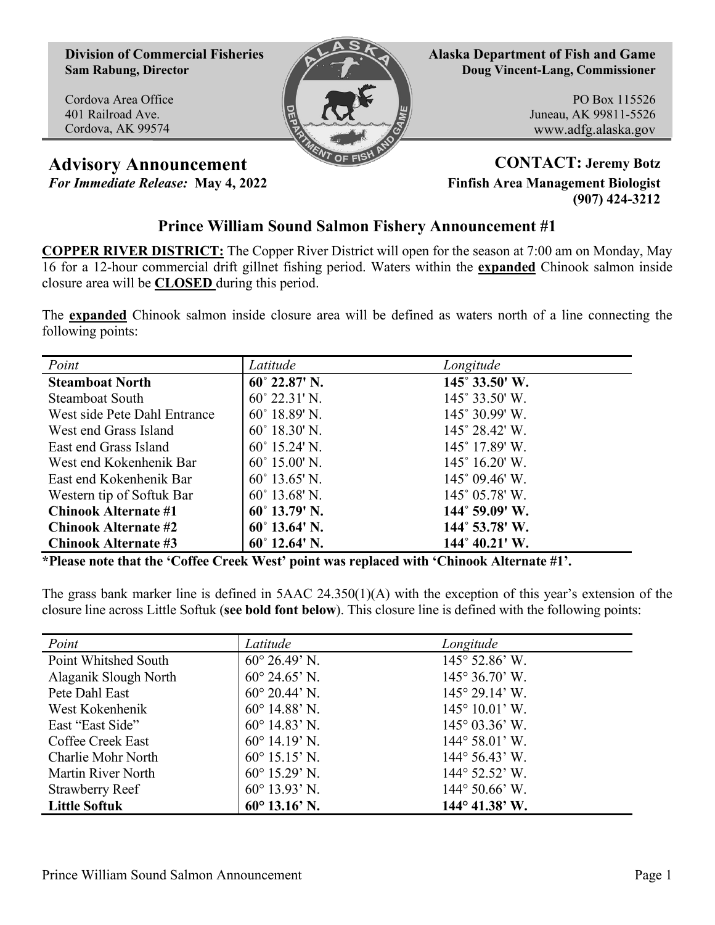**Division of Commercial Fisheries Sam Rabung, Director**

Cordova Area Office 401 Railroad Ave. Cordova, AK 99574



**Alaska Department of Fish and Game Doug Vincent-Lang, Commissioner**

> PO Box 115526 Juneau, AK 99811-5526 www.adfg.alaska.gov

**Advisory Announcement CONTACT: Jeremy Botz**

*For Immediate Release:* **May 4, 2022 Finfish Area Management Biologist (907) 424-3212**

## **Prince William Sound Salmon Fishery Announcement #1**

**COPPER RIVER DISTRICT:** The Copper River District will open for the season at 7:00 am on Monday, May 16 for a 12-hour commercial drift gillnet fishing period. Waters within the **expanded** Chinook salmon inside closure area will be **CLOSED** during this period.

The **expanded** Chinook salmon inside closure area will be defined as waters north of a line connecting the following points:

| Point                        | Latitude               | Longitude                      |
|------------------------------|------------------------|--------------------------------|
| <b>Steamboat North</b>       | $60^{\circ}$ 22.87' N. | 145° 33.50' W.                 |
| <b>Steamboat South</b>       | $60^{\circ}$ 22.31' N. | $145^{\circ}$ 33.50' W.        |
| West side Pete Dahl Entrance | $60^{\circ}$ 18.89' N. | 145° 30.99' W.                 |
| West end Grass Island        | $60^{\circ}$ 18.30' N. | $145^{\circ} 28.42^{\circ}$ W. |
| East end Grass Island        | $60^{\circ}$ 15.24' N. | 145° 17.89' W.                 |
| West end Kokenhenik Bar      | $60^{\circ}$ 15.00' N. | $145^{\circ}$ 16.20' W.        |
| East end Kokenhenik Bar      | $60^{\circ}$ 13.65' N. | $145^{\circ}$ 09.46' W.        |
| Western tip of Softuk Bar    | $60^{\circ}$ 13.68' N. | 145° 05.78′ W.                 |
| <b>Chinook Alternate #1</b>  | $60^{\circ}$ 13.79' N. | 144° 59.09' W.                 |
| <b>Chinook Alternate #2</b>  | $60^{\circ}$ 13.64' N. | $144^{\circ}$ 53.78' W.        |
| <b>Chinook Alternate #3</b>  | $60^{\circ}$ 12.64' N. | $144^{\circ} 40.21'$ W.        |

**\*Please note that the 'Coffee Creek West' point was replaced with 'Chinook Alternate #1'.**

The grass bank marker line is defined in  $5AAC 24.350(1)(A)$  with the exception of this year's extension of the closure line across Little Softuk (**see bold font below**). This closure line is defined with the following points:

| Point                  | Latitude                | Longitude                      |
|------------------------|-------------------------|--------------------------------|
| Point Whitshed South   | $60^{\circ} 26.49$ ' N. | $145^{\circ}$ 52.86' W.        |
| Alaganik Slough North  | $60^{\circ}$ 24.65' N.  | $145^{\circ} 36.70^{\circ}$ W. |
| Pete Dahl East         | $60^{\circ}$ 20.44' N.  | $145^{\circ} 29.14^{\circ}$ W. |
| West Kokenhenik        | $60^{\circ}$ 14.88' N.  | $145^{\circ} 10.01'$ W.        |
| East "East Side"       | $60^{\circ}$ 14.83' N.  | $145^{\circ}$ 03.36' W.        |
| Coffee Creek East      | $60^{\circ}$ 14.19' N.  | $144^{\circ} 58.01'$ W.        |
| Charlie Mohr North     | $60^{\circ}$ 15.15' N.  | $144^{\circ}$ 56.43' W.        |
| Martin River North     | $60^{\circ}$ 15.29' N.  | $144^{\circ}$ 52.52' W.        |
| <b>Strawberry Reef</b> | $60^{\circ}$ 13.93' N.  | $144^{\circ} 50.66^{\circ}$ W. |
| <b>Little Softuk</b>   | $60^{\circ}$ 13.16' N.  | $144^{\circ}$ 41.38' W.        |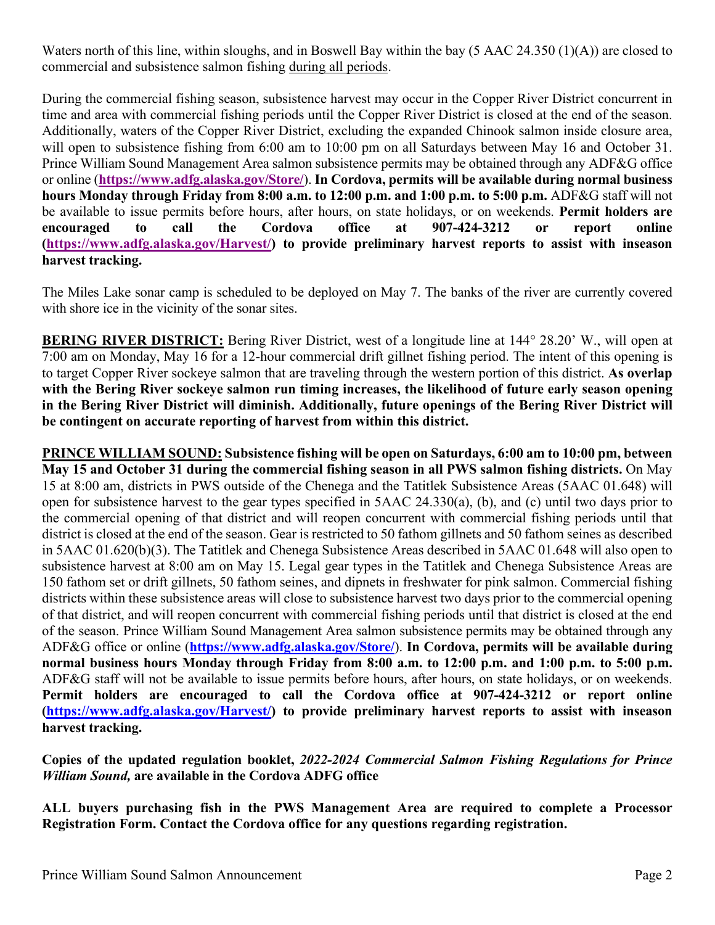Waters north of this line, within sloughs, and in Boswell Bay within the bay (5 AAC 24.350 (1)(A)) are closed to commercial and subsistence salmon fishing during all periods.

During the commercial fishing season, subsistence harvest may occur in the Copper River District concurrent in time and area with commercial fishing periods until the Copper River District is closed at the end of the season. Additionally, waters of the Copper River District, excluding the expanded Chinook salmon inside closure area, will open to subsistence fishing from 6:00 am to 10:00 pm on all Saturdays between May 16 and October 31. Prince William Sound Management Area salmon subsistence permits may be obtained through any ADF&G office or online (**<https://www.adfg.alaska.gov/Store/>**). **In Cordova, permits will be available during normal business hours Monday through Friday from 8:00 a.m. to 12:00 p.m. and 1:00 p.m. to 5:00 p.m.** ADF&G staff will not be available to issue permits before hours, after hours, on state holidays, or on weekends. **Permit holders are encouraged to call the Cordova office at 907-424-3212 or report online (<https://www.adfg.alaska.gov/Harvest/>) to provide preliminary harvest reports to assist with inseason harvest tracking.**

The Miles Lake sonar camp is scheduled to be deployed on May 7. The banks of the river are currently covered with shore ice in the vicinity of the sonar sites.

**BERING RIVER DISTRICT:** Bering River District, west of a longitude line at 144° 28.20' W., will open at 7:00 am on Monday, May 16 for a 12-hour commercial drift gillnet fishing period. The intent of this opening is to target Copper River sockeye salmon that are traveling through the western portion of this district. **As overlap with the Bering River sockeye salmon run timing increases, the likelihood of future early season opening in the Bering River District will diminish. Additionally, future openings of the Bering River District will be contingent on accurate reporting of harvest from within this district.**

**PRINCE WILLIAM SOUND: Subsistence fishing will be open on Saturdays, 6:00 am to 10:00 pm, between May 15 and October 31 during the commercial fishing season in all PWS salmon fishing districts.** On May 15 at 8:00 am, districts in PWS outside of the Chenega and the Tatitlek Subsistence Areas (5AAC 01.648) will open for subsistence harvest to the gear types specified in 5AAC 24.330(a), (b), and (c) until two days prior to the commercial opening of that district and will reopen concurrent with commercial fishing periods until that district is closed at the end of the season. Gear is restricted to 50 fathom gillnets and 50 fathom seines as described in 5AAC 01.620(b)(3). The Tatitlek and Chenega Subsistence Areas described in 5AAC 01.648 will also open to subsistence harvest at 8:00 am on May 15. Legal gear types in the Tatitlek and Chenega Subsistence Areas are 150 fathom set or drift gillnets, 50 fathom seines, and dipnets in freshwater for pink salmon. Commercial fishing districts within these subsistence areas will close to subsistence harvest two days prior to the commercial opening of that district, and will reopen concurrent with commercial fishing periods until that district is closed at the end of the season. Prince William Sound Management Area salmon subsistence permits may be obtained through any ADF&G office or online (**<https://www.adfg.alaska.gov/Store/>**). **In Cordova, permits will be available during normal business hours Monday through Friday from 8:00 a.m. to 12:00 p.m. and 1:00 p.m. to 5:00 p.m.** ADF&G staff will not be available to issue permits before hours, after hours, on state holidays, or on weekends. **Permit holders are encouraged to call the Cordova office at 907-424-3212 or report online (<https://www.adfg.alaska.gov/Harvest/>) to provide preliminary harvest reports to assist with inseason harvest tracking.**

**Copies of the updated regulation booklet,** *2022-2024 Commercial Salmon Fishing Regulations for Prince William Sound,* **are available in the Cordova ADFG office**

**ALL buyers purchasing fish in the PWS Management Area are required to complete a Processor Registration Form. Contact the Cordova office for any questions regarding registration.**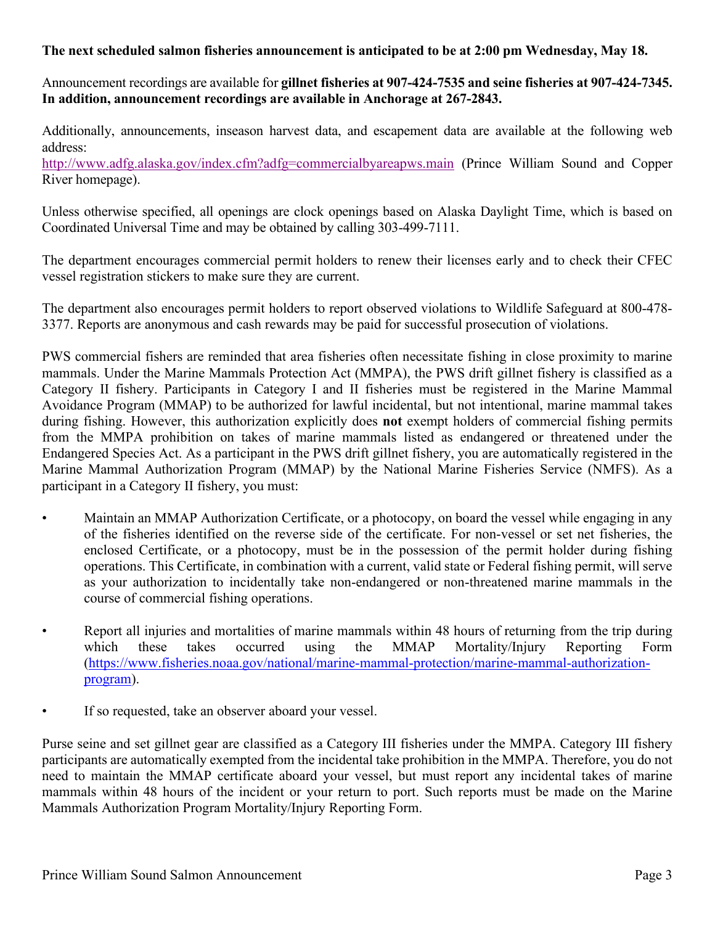## **The next scheduled salmon fisheries announcement is anticipated to be at 2:00 pm Wednesday, May 18.**

Announcement recordings are available for **gillnet fisheries at 907-424-7535 and seine fisheries at 907-424-7345. In addition, announcement recordings are available in Anchorage at 267-2843.**

Additionally, announcements, inseason harvest data, and escapement data are available at the following web address:

<http://www.adfg.alaska.gov/index.cfm?adfg=commercialbyareapws.main> (Prince William Sound and Copper River homepage).

Unless otherwise specified, all openings are clock openings based on Alaska Daylight Time, which is based on Coordinated Universal Time and may be obtained by calling 303-499-7111.

The department encourages commercial permit holders to renew their licenses early and to check their CFEC vessel registration stickers to make sure they are current.

The department also encourages permit holders to report observed violations to Wildlife Safeguard at 800-478- 3377. Reports are anonymous and cash rewards may be paid for successful prosecution of violations.

PWS commercial fishers are reminded that area fisheries often necessitate fishing in close proximity to marine mammals. Under the Marine Mammals Protection Act (MMPA), the PWS drift gillnet fishery is classified as a Category II fishery. Participants in Category I and II fisheries must be registered in the Marine Mammal Avoidance Program (MMAP) to be authorized for lawful incidental, but not intentional, marine mammal takes during fishing. However, this authorization explicitly does **not** exempt holders of commercial fishing permits from the MMPA prohibition on takes of marine mammals listed as endangered or threatened under the Endangered Species Act. As a participant in the PWS drift gillnet fishery, you are automatically registered in the Marine Mammal Authorization Program (MMAP) by the National Marine Fisheries Service (NMFS). As a participant in a Category II fishery, you must:

- Maintain an MMAP Authorization Certificate, or a photocopy, on board the vessel while engaging in any of the fisheries identified on the reverse side of the certificate. For non-vessel or set net fisheries, the enclosed Certificate, or a photocopy, must be in the possession of the permit holder during fishing operations. This Certificate, in combination with a current, valid state or Federal fishing permit, will serve as your authorization to incidentally take non-endangered or non-threatened marine mammals in the course of commercial fishing operations.
- Report all injuries and mortalities of marine mammals within 48 hours of returning from the trip during which these takes occurred using the MMAP Mortality/Injury Reporting Form ([https://www.fisheries.noaa.gov/national/marine-mammal-protection/marine-mammal-authorization](https://www.fisheries.noaa.gov/national/marine-mammal-protection/marine-mammal-authorization-program)[program](https://www.fisheries.noaa.gov/national/marine-mammal-protection/marine-mammal-authorization-program)).
- If so requested, take an observer aboard your vessel.

Purse seine and set gillnet gear are classified as a Category III fisheries under the MMPA. Category III fishery participants are automatically exempted from the incidental take prohibition in the MMPA. Therefore, you do not need to maintain the MMAP certificate aboard your vessel, but must report any incidental takes of marine mammals within 48 hours of the incident or your return to port. Such reports must be made on the Marine Mammals Authorization Program Mortality/Injury Reporting Form.